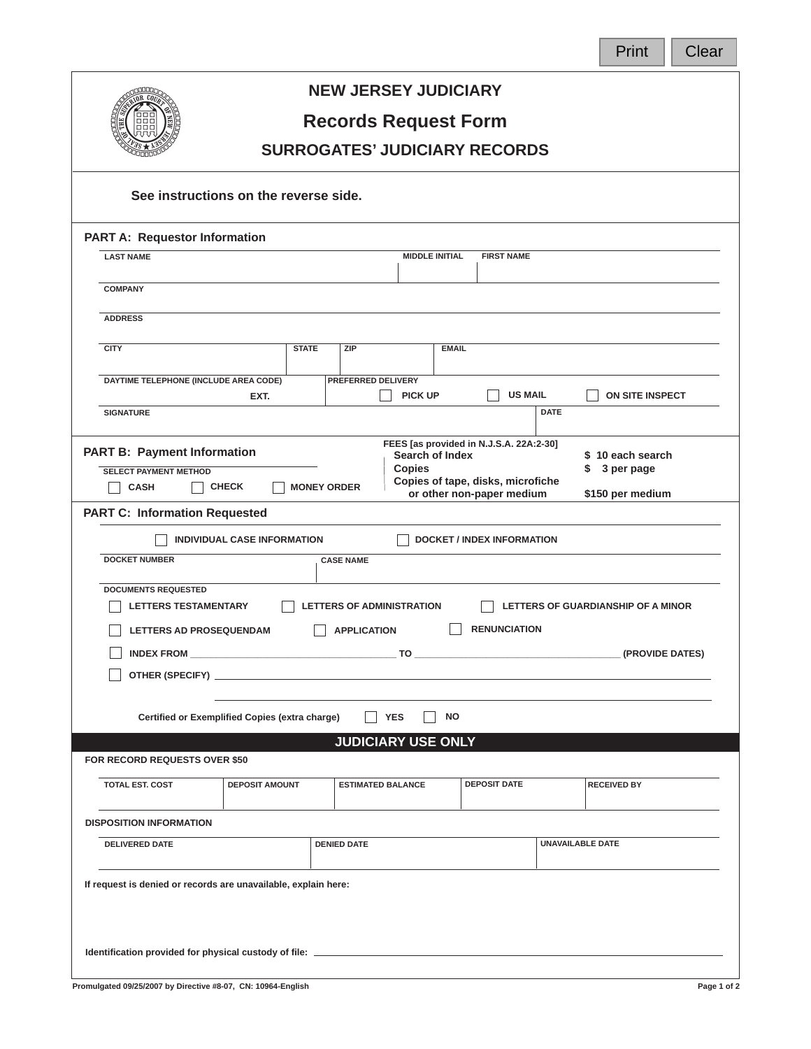| v. |    |  |
|----|----|--|
|    | ın |  |
|    |    |  |



## **NEW JERSEY JUDICIARY**

## **Records Request Form**

## **SURROGATES' JUDICIARY RECORDS**

| See instructions on the reverse side.<br><b>PART A: Requestor Information</b>                                                                                                                                                      |                                      |                                   |                    |  |  |  |
|------------------------------------------------------------------------------------------------------------------------------------------------------------------------------------------------------------------------------------|--------------------------------------|-----------------------------------|--------------------|--|--|--|
| <b>LAST NAME</b>                                                                                                                                                                                                                   | <b>MIDDLE INITIAL</b>                | <b>FIRST NAME</b>                 |                    |  |  |  |
|                                                                                                                                                                                                                                    |                                      |                                   |                    |  |  |  |
| <b>COMPANY</b>                                                                                                                                                                                                                     |                                      |                                   |                    |  |  |  |
| <b>ADDRESS</b>                                                                                                                                                                                                                     |                                      |                                   |                    |  |  |  |
| <b>CITY</b><br><b>STATE</b>                                                                                                                                                                                                        | <b>ZIP</b><br><b>EMAIL</b>           |                                   |                    |  |  |  |
| DAYTIME TELEPHONE (INCLUDE AREA CODE)<br>EXT.                                                                                                                                                                                      | PREFERRED DELIVERY<br><b>PICK UP</b> | <b>US MAIL</b>                    | ON SITE INSPECT    |  |  |  |
| <b>SIGNATURE</b>                                                                                                                                                                                                                   |                                      | <b>DATE</b>                       |                    |  |  |  |
| FEES [as provided in N.J.S.A. 22A:2-30]<br><b>PART B: Payment Information</b><br><b>Search of Index</b><br>\$10 each search<br><b>Copies</b><br>\$ 3 per page<br><b>SELECT PAYMENT METHOD</b><br>Copies of tape, disks, microfiche |                                      |                                   |                    |  |  |  |
| CHECK<br><b>CASH</b>                                                                                                                                                                                                               | <b>MONEY ORDER</b>                   | or other non-paper medium         | \$150 per medium   |  |  |  |
|                                                                                                                                                                                                                                    | <b>PART C: Information Requested</b> |                                   |                    |  |  |  |
| <b>INDIVIDUAL CASE INFORMATION</b>                                                                                                                                                                                                 |                                      | <b>DOCKET / INDEX INFORMATION</b> |                    |  |  |  |
| <b>DOCKET NUMBER</b>                                                                                                                                                                                                               | <b>CASE NAME</b>                     |                                   |                    |  |  |  |
| <b>DOCUMENTS REQUESTED</b><br><b>LETTERS OF ADMINISTRATION</b><br><b>LETTERS TESTAMENTARY</b><br>LETTERS OF GUARDIANSHIP OF A MINOR                                                                                                |                                      |                                   |                    |  |  |  |
| <b>LETTERS AD PROSEQUENDAM</b>                                                                                                                                                                                                     | <b>APPLICATION</b>                   | <b>RENUNCIATION</b>               |                    |  |  |  |
|                                                                                                                                                                                                                                    |                                      |                                   |                    |  |  |  |
|                                                                                                                                                                                                                                    |                                      |                                   |                    |  |  |  |
| <b>NO</b><br><b>YES</b><br>Certified or Exemplified Copies (extra charge)                                                                                                                                                          |                                      |                                   |                    |  |  |  |
|                                                                                                                                                                                                                                    | <b>JUDICIARY USE ONLY</b>            |                                   |                    |  |  |  |
| <b>FOR RECORD REQUESTS OVER \$50</b>                                                                                                                                                                                               |                                      |                                   |                    |  |  |  |
| <b>TOTAL EST. COST</b><br><b>DEPOSIT AMOUNT</b>                                                                                                                                                                                    | <b>ESTIMATED BALANCE</b>             | <b>DEPOSIT DATE</b>               | <b>RECEIVED BY</b> |  |  |  |
| <b>DISPOSITION INFORMATION</b>                                                                                                                                                                                                     |                                      |                                   |                    |  |  |  |
| UNAVAILABLE DATE<br><b>DELIVERED DATE</b><br><b>DENIED DATE</b>                                                                                                                                                                    |                                      |                                   |                    |  |  |  |
| If request is denied or records are unavailable, explain here:                                                                                                                                                                     |                                      |                                   |                    |  |  |  |
|                                                                                                                                                                                                                                    |                                      |                                   |                    |  |  |  |